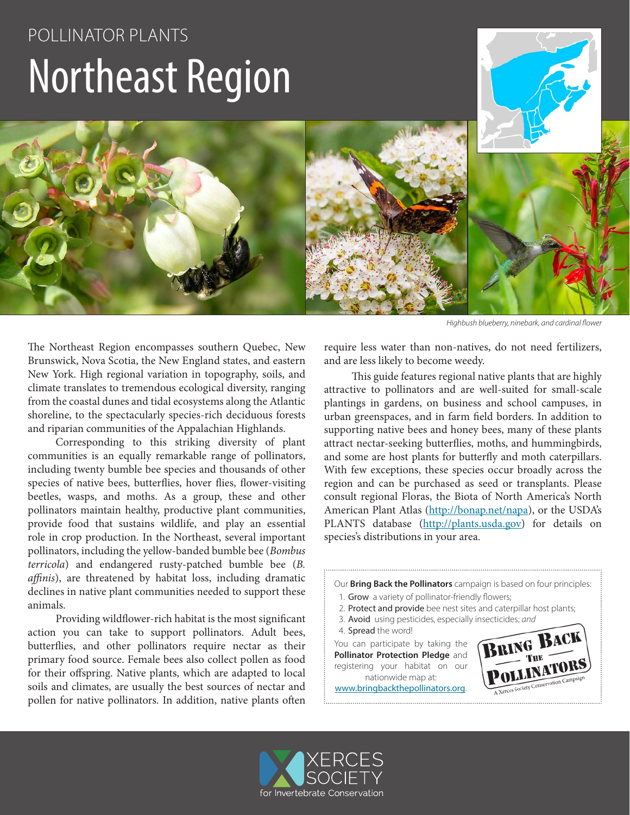# POLLINATOR PLANTS Northeast Region



*Highbush blueberry, ninebark, and cardinal flower*

The Northeast Region encompasses southern Quebec, New Brunswick, Nova Scotia, the New England states, and eastern New York. High regional variation in topography, soils, and climate translates to tremendous ecological diversity, ranging from the coastal dunes and tidal ecosystems along the Atlantic shoreline, to the spectacularly species-rich deciduous forests and riparian communities of the Appalachian Highlands.

Corresponding to this striking diversity of plant communities is an equally remarkable range of pollinators, including twenty bumble bee species and thousands of other species of native bees, butterflies, hover flies, flower-visiting beetles, wasps, and moths. As a group, these and other pollinators maintain healthy, productive plant communities, provide food that sustains wildlife, and play an essential role in crop production. In the Northeast, several important pollinators, including the yellow-banded bumble bee (*Bombus terricola*) and endangered rusty-patched bumble bee (*B. affinis*), are threatened by habitat loss, including dramatic declines in native plant communities needed to support these animals.

Providing wildflower-rich habitat is the most significant action you can take to support pollinators. Adult bees, butterflies, and other pollinators require nectar as their primary food source. Female bees also collect pollen as food for their offspring. Native plants, which are adapted to local soils and climates, are usually the best sources of nectar and pollen for native pollinators. In addition, native plants often require less water than non-natives, do not need fertilizers, and are less likely to become weedy.

This guide features regional native plants that are highly attractive to pollinators and are well-suited for small-scale plantings in gardens, on business and school campuses, in urban greenspaces, and in farm field borders. In addition to supporting native bees and honey bees, many of these plants attract nectar-seeking butterflies, moths, and hummingbirds, and some are host plants for butterfly and moth caterpillars. With few exceptions, these species occur broadly across the region and can be purchased as seed or transplants. Please consult regional Floras, the Biota of North America's North American Plant Atlas (http://bonap.net/napa), or the USDA's PLANTS database (http://plants.usda.gov) for details on species's distributions in your area.

Our **Bring Back the Pollinators** campaign is based on four principles:

- 1. Grow a variety of pollinator-friendly flowers;
- 2. Protect and provide bee nest sites and caterpillar host plants;
- 3. Avoid using pesticides, especially insecticides; *and*

4. Spread the word!

You can participate by taking the **Pollinator Protection Pledge** and registering your habitat on our nationwide map at:

www.bringbackthepollinators.org.



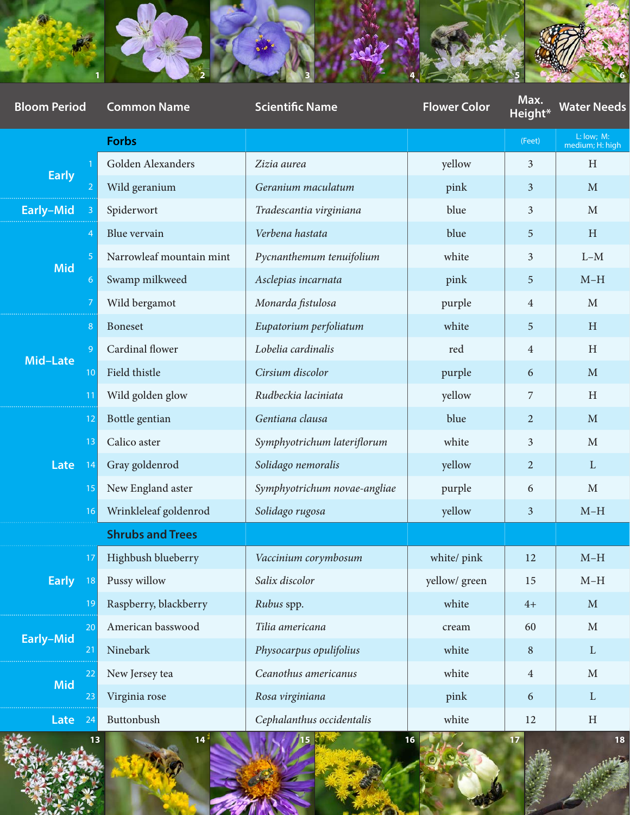

| <b>Bloom Period</b> | <b>Common Name</b>       | <b>Scientific Name</b>       | <b>Flower Color</b>          | Max.<br>Height* | <b>Water Needs</b>            |
|---------------------|--------------------------|------------------------------|------------------------------|-----------------|-------------------------------|
|                     | Forbs                    |                              |                              | (Feet)          | L: low; M:<br>medium; H: high |
| <b>Early</b>        | Golden Alexanders        | Zizia aurea                  | yellow                       | $\mathfrak{Z}$  | $\, {\rm H}$                  |
|                     | Wild geranium            | Geranium maculatum           | pink                         | $\mathbf{3}$    | $\mathbf M$                   |
| Early-Mid           | Spiderwort               | Tradescantia virginiana      | blue                         | $\mathfrak{Z}$  | $\mathbf{M}$                  |
| Mid                 | Blue vervain             | Verbena hastata              | blue                         | $5\overline{)}$ | $\, {\rm H}$                  |
|                     | Narrowleaf mountain mint | Pycnanthemum tenuifolium     | white                        | $\mathfrak{Z}$  | $L-M$                         |
|                     | Swamp milkweed           | Asclepias incarnata          | pink                         | $5\overline{)}$ | $M-H$                         |
|                     | Wild bergamot            | Monarda fistulosa            | purple                       | $\overline{4}$  | $\mathbf{M}$                  |
| Mid-Late            | <b>Boneset</b>           | Eupatorium perfoliatum       | white                        | $5\overline{)}$ | $\, {\rm H}$                  |
|                     | Cardinal flower          | Lobelia cardinalis           | red                          | $\overline{4}$  | $\, {\rm H}$                  |
|                     | Field thistle            | Cirsium discolor             | purple                       | 6               | $\mathbf M$                   |
|                     | Wild golden glow         | Rudbeckia laciniata          | yellow                       | $\overline{7}$  | $\, {\rm H}$                  |
| Late                | Bottle gentian           | Gentiana clausa              | blue                         | $\overline{2}$  | $\mathbf{M}$                  |
|                     | Calico aster             | Symphyotrichum lateriflorum  | white                        | $\mathbf{3}$    | $\mathbf{M}$                  |
|                     | Gray goldenrod           | Solidago nemoralis           | yellow                       | $\overline{2}$  | $\mathbf{L}$                  |
|                     | New England aster        | Symphyotrichum novae-angliae | purple                       | 6               | $\mathbf{M}$                  |
|                     | Wrinkleleaf goldenrod    | Solidago rugosa              | yellow                       | $\mathbf{3}$    | $M-H$                         |
|                     | <b>Shrubs and Trees</b>  |                              |                              |                 |                               |
| <b>Early</b>        | Highbush blueberry       | Vaccinium corymbosum         | white/ $\operatorname{pink}$ | 12              | $M-H$                         |
|                     | Pussy willow             | Salix discolor               | yellow/green                 | 15              | $M-H$                         |
|                     | Raspberry, blackberry    | Rubus spp.                   | white                        | $4+$            | $\mathbf M$                   |
| Early-Mid           | American basswood        | Tilia americana              | $\,$ cream $\,$              | 60              | $\mathbf M$                   |
|                     | Ninebark                 | Physocarpus opulifolius      | white                        | $8\phantom{.}$  | $\mathbf{L}^-$                |
| Mid                 | New Jersey tea           | Ceanothus americanus         | white                        | $\overline{4}$  | $\mathbf M$                   |
|                     | Virginia rose            | Rosa virginiana              | pink                         | 6               | $\mathbf{L}$                  |
| Late                | Buttonbush               | Cephalanthus occidentalis    | white                        | 12              | $\, {\rm H}$                  |

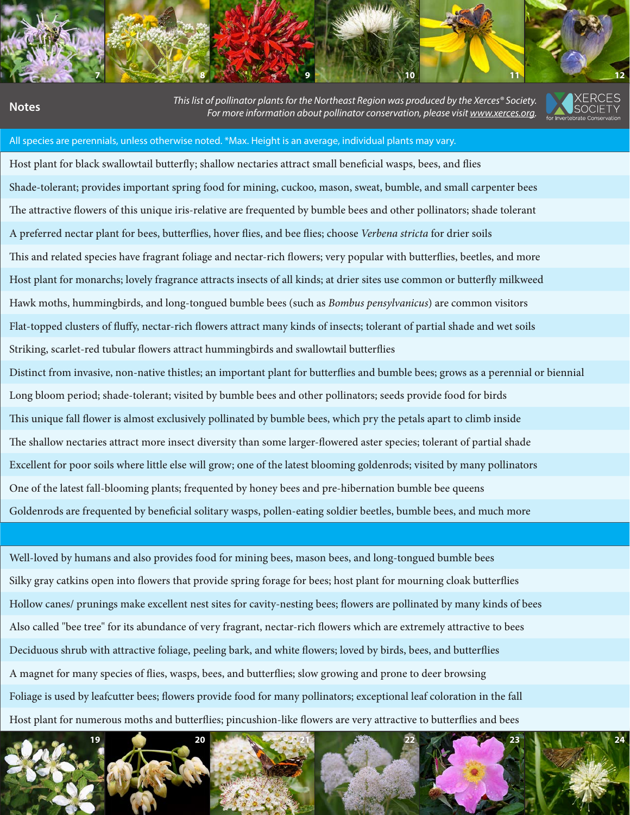**1 2 3 4 5 6 7 8 9 10 11 12**

**Height\* Water Needs Notes** *This list of pollinator plants for the Northeast Region was produced by the Xerces® Society. For more information about pollinator conservation, please visit www.xerces.org.*



#### All species are perennials, unless otherwise noted. \*Max. Height is an average, individual plants may vary.

Host plant for black swallowtail butterfly; shallow nectaries attract small beneficial wasps, bees, and flies Shade-tolerant; provides important spring food for mining, cuckoo, mason, sweat, bumble, and small carpenter bees The attractive flowers of this unique iris-relative are frequented by bumble bees and other pollinators; shade tolerant A preferred nectar plant for bees, butterflies, hover flies, and bee flies; choose *Verbena stricta* for drier soils This and related species have fragrant foliage and nectar-rich flowers; very popular with butterflies, beetles, and more Host plant for monarchs; lovely fragrance attracts insects of all kinds; at drier sites use common or butterfly milkweed 7 Wild bergamot *Monarda fistulosa* purple 4 M Hawk moths, hummingbirds, and long-tongued bumble bees (such as *Bombus pensylvanicus*) are common visitors Flat-topped clusters of fluffy, nectar-rich flowers attract many kinds of insects; tolerant of partial shade and wet soils Striking, scarlet-red tubular flowers attract hummingbirds and swallowtail butterflies Distinct from invasive, non-native thistles; an important plant for butterflies and bumble bees; grows as a perennial or biennial Long bloom period; shade-tolerant; visited by bumble bees and other pollinators; seeds provide food for birds This unique fall flower is almost exclusively pollinated by bumble bees, which pry the petals apart to climb inside The shallow nectaries attract more insect diversity than some larger-flowered aster species; tolerant of partial shade Excellent for poor soils where little else will grow; one of the latest blooming goldenrods; visited by many pollinators One of the latest fall-blooming plants; frequented by honey bees and pre-hibernation bumble bee queens

Goldenrods are frequented by beneficial solitary wasps, pollen-eating soldier beetles, bumble bees, and much more

Well-loved by humans and also provides food for mining bees, mason bees, and long-tongued bumble bees Silky gray catkins open into flowers that provide spring forage for bees; host plant for mourning cloak butterflies Hollow canes/ prunings make excellent nest sites for cavity-nesting bees; flowers are pollinated by many kinds of bees Also called "bee tree" for its abundance of very fragrant, nectar-rich flowers which are extremely attractive to bees Deciduous shrub with attractive foliage, peeling bark, and white flowers; loved by birds, bees, and butterflies A magnet for many species of flies, wasps, bees, and butterflies; slow growing and prone to deer browsing Foliage is used by leafcutter bees; flowers provide food for many pollinators; exceptional leaf coloration in the fall Host plant for numerous moths and butterflies; pincushion-like flowers are very attractive to butterflies and bees